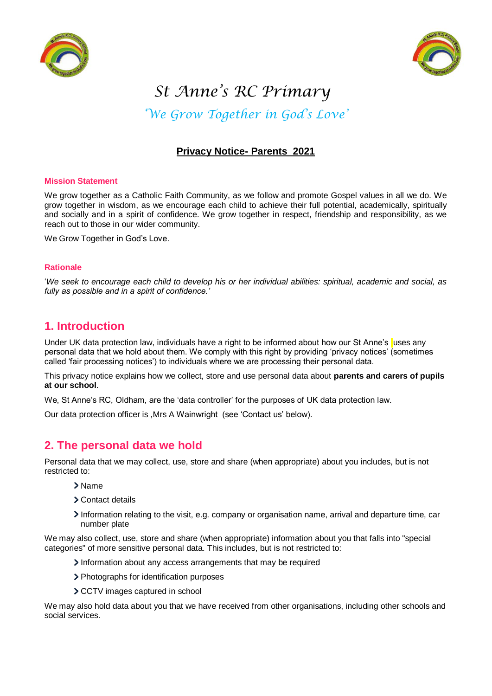



# *St Anne's RC Primary*

*'We Grow Together in God's Love'*

# **Privacy Notice- Parents 2021**

#### **Mission Statement**

We grow together as a Catholic Faith Community, as we follow and promote Gospel values in all we do. We grow together in wisdom, as we encourage each child to achieve their full potential, academically, spiritually and socially and in a spirit of confidence. We grow together in respect, friendship and responsibility, as we reach out to those in our wider community.

We Grow Together in God's Love.

#### **Rationale**

'*We seek to encourage each child to develop his or her individual abilities: spiritual, academic and social, as fully as possible and in a spirit of confidence.'*

## **1. Introduction**

Under UK data protection law, individuals have a right to be informed about how our St Anne's uses any personal data that we hold about them. We comply with this right by providing 'privacy notices' (sometimes called 'fair processing notices') to individuals where we are processing their personal data.

This privacy notice explains how we collect, store and use personal data about **parents and carers of pupils at our school**.

We, St Anne's RC, Oldham, are the 'data controller' for the purposes of UK data protection law.

Our data protection officer is ,Mrs A Wainwright (see 'Contact us' below).

## **2. The personal data we hold**

Personal data that we may collect, use, store and share (when appropriate) about you includes, but is not restricted to:

- Name
- Contact details
- Information relating to the visit, e.g. company or organisation name, arrival and departure time, car number plate

We may also collect, use, store and share (when appropriate) information about you that falls into "special categories" of more sensitive personal data. This includes, but is not restricted to:

- Information about any access arrangements that may be required
- > Photographs for identification purposes
- > CCTV images captured in school

We may also hold data about you that we have received from other organisations, including other schools and social services.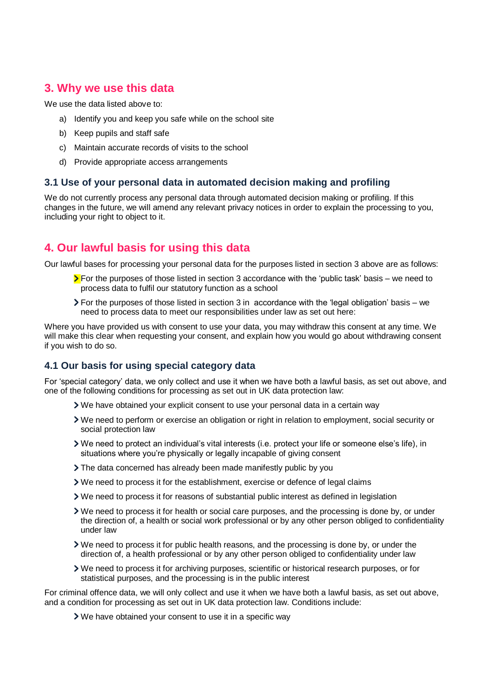# **3. Why we use this data**

We use the data listed above to:

- a) Identify you and keep you safe while on the school site
- b) Keep pupils and staff safe
- c) Maintain accurate records of visits to the school
- d) Provide appropriate access arrangements

#### **3.1 Use of your personal data in automated decision making and profiling**

We do not currently process any personal data through automated decision making or profiling. If this changes in the future, we will amend any relevant privacy notices in order to explain the processing to you, including your right to object to it.

# **4. Our lawful basis for using this data**

Our lawful bases for processing your personal data for the purposes listed in section 3 above are as follows:

- $\sum$  For the purposes of those listed in section 3 accordance with the 'public task' basis we need to process data to fulfil our statutory function as a school
- For the purposes of those listed in section 3 in accordance with the 'legal obligation' basis we need to process data to meet our responsibilities under law as set out here:

Where you have provided us with consent to use your data, you may withdraw this consent at any time. We will make this clear when requesting your consent, and explain how you would go about withdrawing consent if you wish to do so.

#### **4.1 Our basis for using special category data**

For 'special category' data, we only collect and use it when we have both a lawful basis, as set out above, and one of the following conditions for processing as set out in UK data protection law:

- We have obtained your explicit consent to use your personal data in a certain way
- We need to perform or exercise an obligation or right in relation to employment, social security or social protection law
- We need to protect an individual's vital interests (i.e. protect your life or someone else's life), in situations where you're physically or legally incapable of giving consent
- The data concerned has already been made manifestly public by you
- We need to process it for the establishment, exercise or defence of legal claims
- We need to process it for reasons of substantial public interest as defined in legislation
- We need to process it for health or social care purposes, and the processing is done by, or under the direction of, a health or social work professional or by any other person obliged to confidentiality under law
- We need to process it for public health reasons, and the processing is done by, or under the direction of, a health professional or by any other person obliged to confidentiality under law
- We need to process it for archiving purposes, scientific or historical research purposes, or for statistical purposes, and the processing is in the public interest

For criminal offence data, we will only collect and use it when we have both a lawful basis, as set out above, and a condition for processing as set out in UK data protection law. Conditions include:

We have obtained your consent to use it in a specific way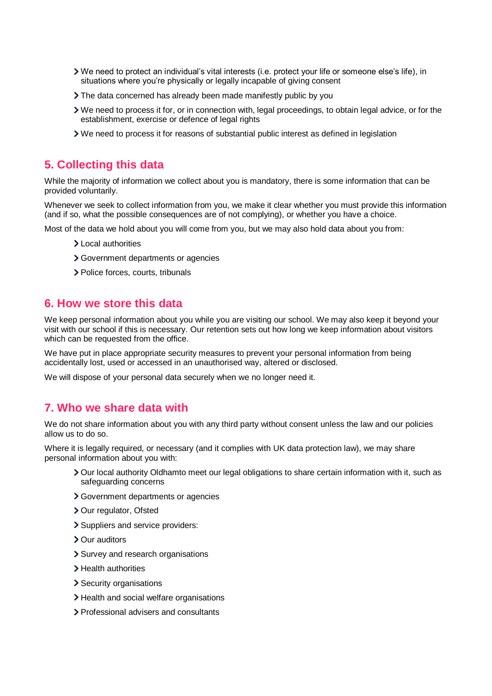- We need to protect an individual's vital interests (i.e. protect your life or someone else's life), in situations where you're physically or legally incapable of giving consent
- The data concerned has already been made manifestly public by you
- We need to process it for, or in connection with, legal proceedings, to obtain legal advice, or for the establishment, exercise or defence of legal rights
- We need to process it for reasons of substantial public interest as defined in legislation

#### **5. Collecting this data**

While the majority of information we collect about you is mandatory, there is some information that can be provided voluntarily.

Whenever we seek to collect information from you, we make it clear whether you must provide this information (and if so, what the possible consequences are of not complying), or whether you have a choice.

Most of the data we hold about you will come from you, but we may also hold data about you from:

- > Local authorities
- Government departments or agencies
- > Police forces, courts, tribunals

#### **6. How we store this data**

We keep personal information about you while you are visiting our school. We may also keep it beyond your visit with our school if this is necessary. Our retention sets out how long we keep information about visitors which can be requested from the office.

We have put in place appropriate security measures to prevent your personal information from being accidentally lost, used or accessed in an unauthorised way, altered or disclosed.

We will dispose of your personal data securely when we no longer need it.

#### **7. Who we share data with**

We do not share information about you with any third party without consent unless the law and our policies allow us to do so.

Where it is legally required, or necessary (and it complies with UK data protection law), we may share personal information about you with:

- Our local authority Oldhamto meet our legal obligations to share certain information with it, such as safeguarding concerns
- Government departments or agencies
- > Our regulator, Ofsted
- > Suppliers and service providers:
- Our auditors
- > Survey and research organisations
- > Health authorities
- > Security organisations
- > Health and social welfare organisations
- Professional advisers and consultants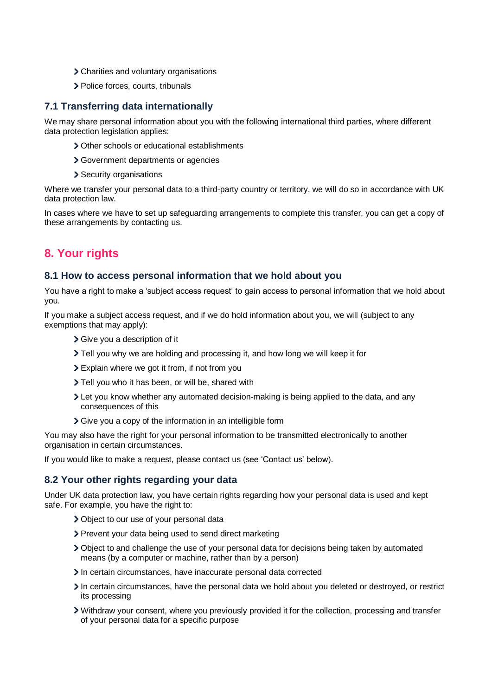- Charities and voluntary organisations
- > Police forces, courts, tribunals

#### **7.1 Transferring data internationally**

We may share personal information about you with the following international third parties, where different data protection legislation applies:

- Other schools or educational establishments
- Government departments or agencies
- > Security organisations

Where we transfer your personal data to a third-party country or territory, we will do so in accordance with UK data protection law.

In cases where we have to set up safeguarding arrangements to complete this transfer, you can get a copy of these arrangements by contacting us.

# **8. Your rights**

#### **8.1 How to access personal information that we hold about you**

You have a right to make a 'subject access request' to gain access to personal information that we hold about you.

If you make a subject access request, and if we do hold information about you, we will (subject to any exemptions that may apply):

- Give you a description of it
- Tell you why we are holding and processing it, and how long we will keep it for
- Explain where we got it from, if not from you
- > Tell you who it has been, or will be, shared with
- Let you know whether any automated decision-making is being applied to the data, and any consequences of this
- Give you a copy of the information in an intelligible form

You may also have the right for your personal information to be transmitted electronically to another organisation in certain circumstances.

If you would like to make a request, please contact us (see 'Contact us' below).

#### **8.2 Your other rights regarding your data**

Under UK data protection law, you have certain rights regarding how your personal data is used and kept safe. For example, you have the right to:

- Object to our use of your personal data
- > Prevent your data being used to send direct marketing
- Object to and challenge the use of your personal data for decisions being taken by automated means (by a computer or machine, rather than by a person)
- In certain circumstances, have inaccurate personal data corrected
- In certain circumstances, have the personal data we hold about you deleted or destroved, or restrict its processing
- Withdraw your consent, where you previously provided it for the collection, processing and transfer of your personal data for a specific purpose